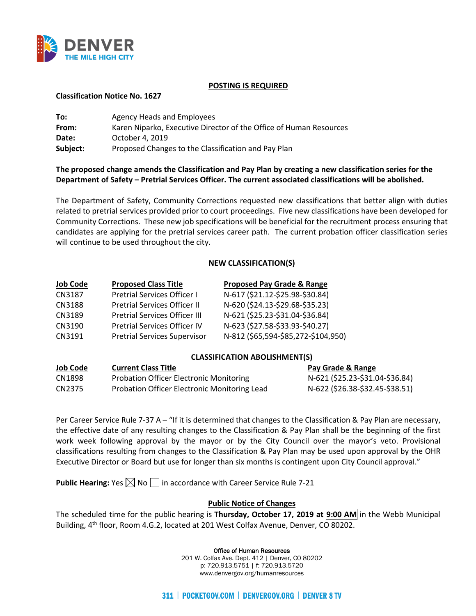

#### **POSTING IS REQUIRED**

#### **Classification Notice No. 1627**

| To:      | Agency Heads and Employees                                         |
|----------|--------------------------------------------------------------------|
| From:    | Karen Niparko, Executive Director of the Office of Human Resources |
| Date:    | October 4, 2019                                                    |
| Subject: | Proposed Changes to the Classification and Pay Plan                |

# **The proposed change amends the Classification and Pay Plan by creating a new classification series for the Department of Safety – Pretrial Services Officer. The current associated classifications will be abolished.**

The Department of Safety, Community Corrections requested new classifications that better align with duties related to pretrial services provided prior to court proceedings. Five new classifications have been developed for Community Corrections. These new job specifications will be beneficial for the recruitment process ensuring that candidates are applying for the pretrial services career path. The current probation officer classification series will continue to be used throughout the city.

## **NEW CLASSIFICATION(S)**

| <b>Job Code</b> | <b>Proposed Class Title</b>         | <b>Proposed Pay Grade &amp; Range</b> |
|-----------------|-------------------------------------|---------------------------------------|
| CN3187          | Pretrial Services Officer I         | N-617 (\$21.12-\$25.98-\$30.84)       |
| CN3188          | <b>Pretrial Services Officer II</b> | N-620 (\$24.13-\$29.68-\$35.23)       |
| CN3189          | Pretrial Services Officer III       | N-621 (\$25.23-\$31.04-\$36.84)       |
| CN3190          | Pretrial Services Officer IV        | N-623 (\$27.58-\$33.93-\$40.27)       |
| CN3191          | <b>Pretrial Services Supervisor</b> | N-812 (\$65,594-\$85,272-\$104,950)   |

## **CLASSIFICATION ABOLISHMENT(S)**

| <b>Job Code</b> | <b>Current Class Title</b>                     | Pay Grade & Range               |
|-----------------|------------------------------------------------|---------------------------------|
| CN1898          | <b>Probation Officer Electronic Monitoring</b> | N-621 (\$25.23-\$31.04-\$36.84) |
| CN2375          | Probation Officer Electronic Monitoring Lead   | N-622 (\$26.38-\$32.45-\$38.51) |

Per Career Service Rule 7-37 A – "If it is determined that changes to the Classification & Pay Plan are necessary, the effective date of any resulting changes to the Classification & Pay Plan shall be the beginning of the first work week following approval by the mayor or by the City Council over the mayor's veto. Provisional classifications resulting from changes to the Classification & Pay Plan may be used upon approval by the OHR Executive Director or Board but use for longer than six months is contingent upon City Council approval."

**Public Hearing:** Yes  $\boxtimes$  No  $\Box$  in accordance with Career Service Rule 7-21

## **Public Notice of Changes**

The scheduled time for the public hearing is **Thursday, October 17, 2019 at 9:00 AM** in the Webb Municipal Building, 4th floor, Room 4.G.2, located at 201 West Colfax Avenue, Denver, CO 80202.

#### Office of Human Resources

201 W. Colfax Ave. Dept. 412 | Denver, CO 80202 p: 720.913.5751 | f: 720.913.5720 www.denvergov.org/humanresources